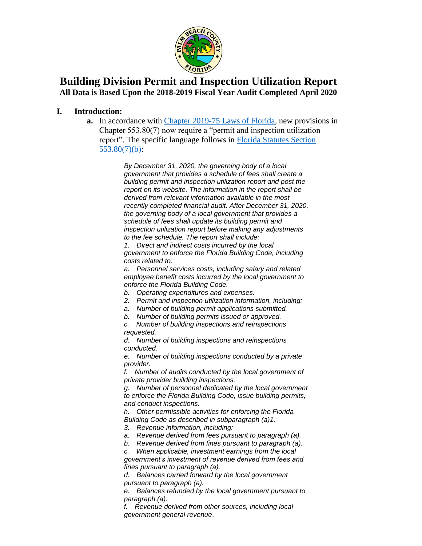

## **Building Division Permit and Inspection Utilization Report All Data is Based Upon the 2018-2019 Fiscal Year Audit Completed April 2020**

#### **I. Introduction:**

**a.** In accordance with [Chapter 2019-75 Laws of Florida,](http://laws.flrules.org/2019/75) new provisions in Chapter 553.80(7) now require a "permit and inspection utilization report". The specific language follows in [Florida Statutes Section](https://www.flsenate.gov/Laws/Statutes/2020/0553.80)  [553.80\(7\)\(b\):](https://www.flsenate.gov/Laws/Statutes/2020/0553.80)

> *By December 31, 2020, the governing body of a local government that provides a schedule of fees shall create a building permit and inspection utilization report and post the report on its website. The information in the report shall be derived from relevant information available in the most recently completed financial audit. After December 31, 2020, the governing body of a local government that provides a schedule of fees shall update its building permit and inspection utilization report before making any adjustments to the fee schedule. The report shall include:*

*1. Direct and indirect costs incurred by the local government to enforce the Florida Building Code, including costs related to:*

*a. Personnel services costs, including salary and related employee benefit costs incurred by the local government to enforce the Florida Building Code.*

- *b. Operating expenditures and expenses.*
- *2. Permit and inspection utilization information, including:*
- *a. Number of building permit applications submitted.*

*b. Number of building permits issued or approved.*

*c. Number of building inspections and reinspections requested.*

*d. Number of building inspections and reinspections conducted.*

*e. Number of building inspections conducted by a private provider.*

*f. Number of audits conducted by the local government of private provider building inspections.*

*g. Number of personnel dedicated by the local government to enforce the Florida Building Code, issue building permits, and conduct inspections.*

*h. Other permissible activities for enforcing the Florida Building Code as described in subparagraph (a)1.*

*3. Revenue information, including:*

*a. Revenue derived from fees pursuant to paragraph (a).*

*b. Revenue derived from fines pursuant to paragraph (a).*

*c. When applicable, investment earnings from the local* 

*government's investment of revenue derived from fees and fines pursuant to paragraph (a).*

*d. Balances carried forward by the local government pursuant to paragraph (a).*

*e. Balances refunded by the local government pursuant to paragraph (a).*

*f. Revenue derived from other sources, including local government general revenue*.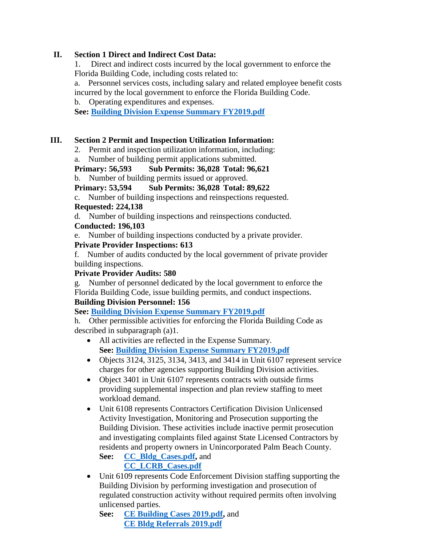#### **II. Section 1 Direct and Indirect Cost Data:**

1. Direct and indirect costs incurred by the local government to enforce the Florida Building Code, including costs related to:

a. Personnel services costs, including salary and related employee benefit costs incurred by the local government to enforce the Florida Building Code.

b. Operating expenditures and expenses.

**See: [Building Division Expense Summary FY2019.pdf](https://discover.pbcgov.org/pzb/building/pdf/Building_Division_Expense_Summary_FY2019.pdf)**

### **III. Section 2 Permit and Inspection Utilization Information:**

- 2. Permit and inspection utilization information, including:
- a. Number of building permit applications submitted.

## **Primary: 56,593 Sub Permits: 36,028 Total: 96,621**

b. Number of building permits issued or approved.

### **Primary: 53,594 Sub Permits: 36,028 Total: 89,622**

c. Number of building inspections and reinspections requested. **Requested: 224,138**

d. Number of building inspections and reinspections conducted.

### **Conducted: 196,103**

e. Number of building inspections conducted by a private provider.

### **Private Provider Inspections: 613**

f. Number of audits conducted by the local government of private provider building inspections.

#### **Private Provider Audits: 580**

g. Number of personnel dedicated by the local government to enforce the Florida Building Code, issue building permits, and conduct inspections.

#### **Building Division Personnel: 156**

**See: [Building Division Expense Summary FY2019.pdf](https://discover.pbcgov.org/pzb/building/pdf/Building_Division_Expense_Summary_FY2019.pdf)**

h. Other permissible activities for enforcing the Florida Building Code as described in subparagraph (a)1.

- All activities are reflected in the Expense Summary. **See: [Building Division Expense Summary FY2019.pdf](https://discover.pbcgov.org/pzb/building/pdf/Building_Division_Expense_Summary_FY2019.pdf)**
- Objects 3124, 3125, 3134, 3413, and 3414 in Unit 6107 represent service charges for other agencies supporting Building Division activities.
- Object 3401 in Unit 6107 represents contracts with outside firms providing supplemental inspection and plan review staffing to meet workload demand.
- Unit 6108 represents Contractors Certification Division Unlicensed Activity Investigation, Monitoring and Prosecution supporting the Building Division. These activities include inactive permit prosecution and investigating complaints filed against State Licensed Contractors by residents and property owners in Unincorporated Palm Beach County. **See: [CC\\_Bldg\\_Cases.pdf,](https://discover.pbcgov.org/pzb/building/pdf/CC_Bldg_Cases.pdf)** and

# **[CC\\_LCRB\\_Cases.pdf](https://discover.pbcgov.org/pzb/building/pdf/CC_LCRB_cases.pdf)**

• Unit 6109 represents Code Enforcement Division staffing supporting the Building Division by performing investigation and prosecution of regulated construction activity without required permits often involving unlicensed parties.

**See: [CE Building Cases 2019.pdf,](https://discover.pbcgov.org/pzb/building/pdf/CE_Building_Cases_2019.pdf)** and **CE Bldg [Referrals 2019.pdf](https://discover.pbcgov.org/pzb/building/pdf/CE_Bldg_Referrals_2019.pdf)**